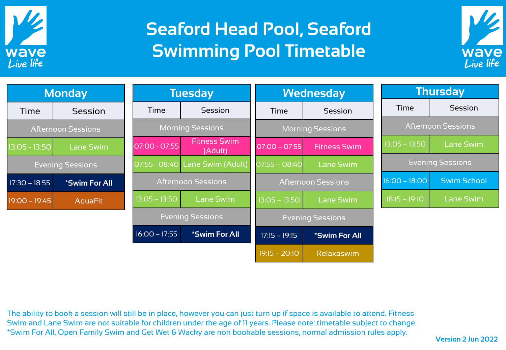

## **Seaford Head Pool, Seaford Swimming Pool Timetable**



| <b>Monday</b>             |                             | <b>Tuesday</b>            |                                 | <b>Wednesday</b>        |                             | <b>Thursday</b>           |                         |
|---------------------------|-----------------------------|---------------------------|---------------------------------|-------------------------|-----------------------------|---------------------------|-------------------------|
| Time                      | <b>Session</b>              | Time                      | Session                         | Time                    | Session                     | Time                      | Session                 |
| <b>Afternoon Sessions</b> |                             | <b>Morning Sessions</b>   |                                 | <b>Morning Sessions</b> |                             | <b>Afternoon Sessions</b> |                         |
| 13:05 - 13:50             | <b>Lane Swim</b>            | 07:00 - 07:55             | <b>Fitness Swim</b><br>(Adult)  | $07:00 - 07:55$         | <b>Fitness Swim</b>         | $13.05 - 13.50$           | <b>Lane Swim</b>        |
| <b>Evening Sessions</b>   |                             |                           | 07:55 - 08:40 Lane Swim (Adult) | $07:55 - 08:40$         | <b>Lane Swim</b>            |                           | <b>Evening Sessions</b> |
| $17:30 - 18:55$           | <i><b>*Swim For All</b></i> | <b>Afternoon Sessions</b> |                                 |                         | <b>Afternoon Sessions</b>   | $16:00 - 18:00$           | <b>Swim School</b>      |
| $19:00 - 19:45$           | <b>AquaFit</b>              | $13:05 - 13:50$           | Lane Swim                       | $13:05 - 13:50$         | <b>Lane Swim</b>            | $18:15 - 19:10$           | <b>Lane Swim</b>        |
|                           |                             | <b>Evening Sessions</b>   |                                 | <b>Evening Sessions</b> |                             |                           |                         |
|                           |                             | $16:00 - 17:55$           | <i><b>*Swim For All</b></i>     | $17:15 - 19:15$         | <i><b>*Swim For All</b></i> |                           |                         |
|                           |                             |                           |                                 | $19:15 - 20:10$         | Relaxaswim                  |                           |                         |

The ability to book a session will still be in place, however you can just turn up if space is available to attend. Fitness Swim and Lane Swim are not suitable for children under the age of 11 years. Please note: timetable subject to change. \*Swim For All, Open Family Swim and Get Wet & Wacky are non bookable sessions, normal admission rules apply.